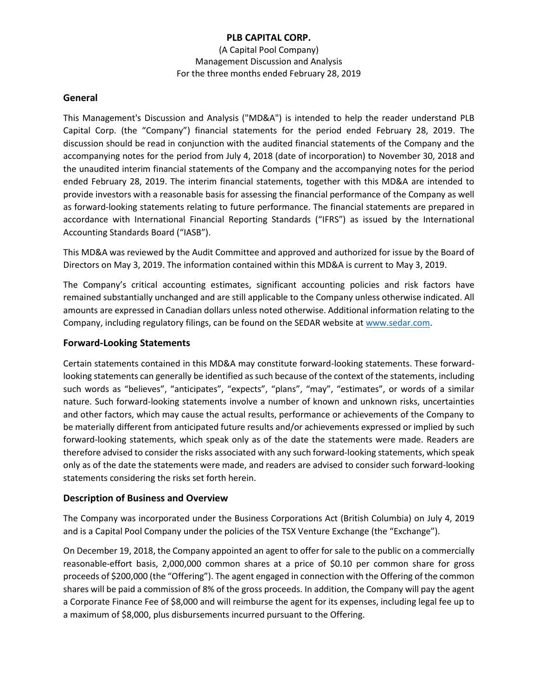(A Capital Pool Company) Management Discussion and Analysis For the three months ended February 28, 2019

#### **General**

This Management's Discussion and Analysis ("MD&A") is intended to help the reader understand PLB Capital Corp. (the "Company") financial statements for the period ended February 28, 2019. The discussion should be read in conjunction with the audited financial statements of the Company and the accompanying notes for the period from July 4, 2018 (date of incorporation) to November 30, 2018 and the unaudited interim financial statements of the Company and the accompanying notes for the period ended February 28, 2019. The interim financial statements, together with this MD&A are intended to provide investors with a reasonable basis for assessing the financial performance of the Company as well as forward-looking statements relating to future performance. The financial statements are prepared in accordance with International Financial Reporting Standards ("IFRS") as issued by the International Accounting Standards Board ("IASB").

This MD&A was reviewed by the Audit Committee and approved and authorized for issue by the Board of Directors on May 3, 2019. The information contained within this MD&A is current to May 3, 2019.

The Company's critical accounting estimates, significant accounting policies and risk factors have remained substantially unchanged and are still applicable to the Company unless otherwise indicated. All amounts are expressed in Canadian dollars unless noted otherwise. Additional information relating to the Company, including regulatory filings, can be found on the SEDAR website at [www.sedar.com.](http://www.sedar.com/)

### **Forward-Looking Statements**

Certain statements contained in this MD&A may constitute forward-looking statements. These forwardlooking statements can generally be identified as such because of the context of the statements, including such words as "believes", "anticipates", "expects", "plans", "may", "estimates", or words of a similar nature. Such forward-looking statements involve a number of known and unknown risks, uncertainties and other factors, which may cause the actual results, performance or achievements of the Company to be materially different from anticipated future results and/or achievements expressed or implied by such forward-looking statements, which speak only as of the date the statements were made. Readers are therefore advised to consider the risks associated with any such forward-looking statements, which speak only as of the date the statements were made, and readers are advised to consider such forward-looking statements considering the risks set forth herein.

#### **Description of Business and Overview**

The Company was incorporated under the Business Corporations Act (British Columbia) on July 4, 2019 and is a Capital Pool Company under the policies of the TSX Venture Exchange (the "Exchange").

On December 19, 2018, the Company appointed an agent to offer for sale to the public on a commercially reasonable-effort basis, 2,000,000 common shares at a price of \$0.10 per common share for gross proceeds of \$200,000 (the "Offering"). The agent engaged in connection with the Offering of the common shares will be paid a commission of 8% of the gross proceeds. In addition, the Company will pay the agent a Corporate Finance Fee of \$8,000 and will reimburse the agent for its expenses, including legal fee up to a maximum of \$8,000, plus disbursements incurred pursuant to the Offering.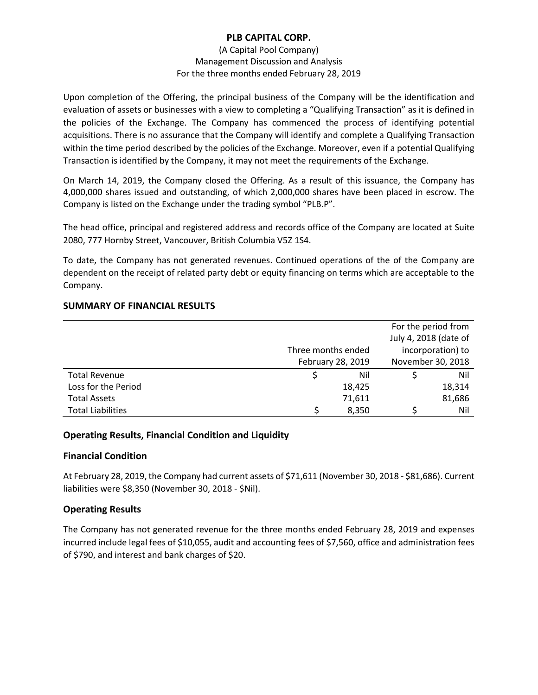### (A Capital Pool Company) Management Discussion and Analysis For the three months ended February 28, 2019

Upon completion of the Offering, the principal business of the Company will be the identification and evaluation of assets or businesses with a view to completing a "Qualifying Transaction" as it is defined in the policies of the Exchange. The Company has commenced the process of identifying potential acquisitions. There is no assurance that the Company will identify and complete a Qualifying Transaction within the time period described by the policies of the Exchange. Moreover, even if a potential Qualifying Transaction is identified by the Company, it may not meet the requirements of the Exchange.

On March 14, 2019, the Company closed the Offering. As a result of this issuance, the Company has 4,000,000 shares issued and outstanding, of which 2,000,000 shares have been placed in escrow. The Company is listed on the Exchange under the trading symbol "PLB.P".

The head office, principal and registered address and records office of the Company are located at Suite 2080, 777 Hornby Street, Vancouver, British Columbia V5Z 1S4.

To date, the Company has not generated revenues. Continued operations of the of the Company are dependent on the receipt of related party debt or equity financing on terms which are acceptable to the Company.

# **SUMMARY OF FINANCIAL RESULTS**

|                          |                    |        |                   | For the period from   |
|--------------------------|--------------------|--------|-------------------|-----------------------|
|                          |                    |        |                   | July 4, 2018 (date of |
|                          | Three months ended |        | incorporation) to |                       |
|                          | February 28, 2019  |        | November 30, 2018 |                       |
| <b>Total Revenue</b>     |                    | Nil    |                   | Nil                   |
| Loss for the Period      |                    | 18,425 |                   | 18,314                |
| <b>Total Assets</b>      |                    | 71,611 |                   | 81,686                |
| <b>Total Liabilities</b> |                    | 8,350  |                   | Nil                   |

# **Operating Results, Financial Condition and Liquidity**

#### **Financial Condition**

At February 28, 2019, the Company had current assets of \$71,611 (November 30, 2018 - \$81,686). Current liabilities were \$8,350 (November 30, 2018 - \$Nil).

# **Operating Results**

The Company has not generated revenue for the three months ended February 28, 2019 and expenses incurred include legal fees of \$10,055, audit and accounting fees of \$7,560, office and administration fees of \$790, and interest and bank charges of \$20.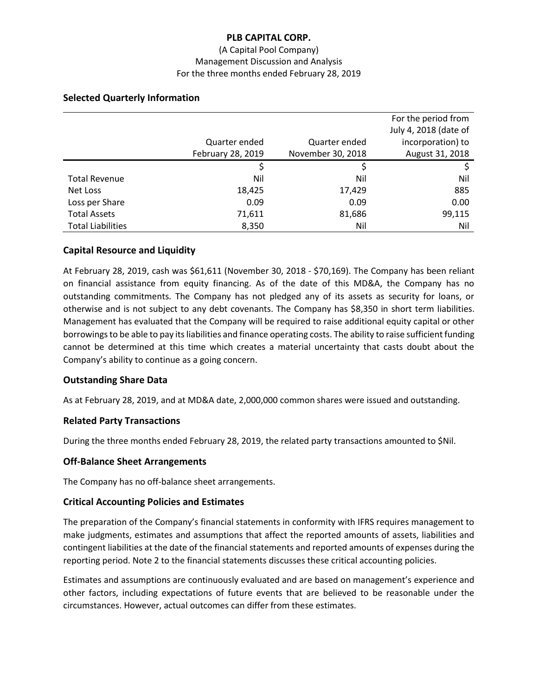### (A Capital Pool Company) Management Discussion and Analysis For the three months ended February 28, 2019

|                          |                   |                   | For the period from   |
|--------------------------|-------------------|-------------------|-----------------------|
|                          |                   |                   | July 4, 2018 (date of |
|                          | Quarter ended     | Quarter ended     | incorporation) to     |
|                          | February 28, 2019 | November 30, 2018 | August 31, 2018       |
|                          |                   |                   |                       |
| <b>Total Revenue</b>     | Nil               | Nil               | Nil                   |
| Net Loss                 | 18,425            | 17,429            | 885                   |
| Loss per Share           | 0.09              | 0.09              | 0.00                  |
| <b>Total Assets</b>      | 71,611            | 81,686            | 99,115                |
| <b>Total Liabilities</b> | 8,350             | Nil               | Nil                   |

### **Selected Quarterly Information**

# **Capital Resource and Liquidity**

At February 28, 2019, cash was \$61,611 (November 30, 2018 - \$70,169). The Company has been reliant on financial assistance from equity financing. As of the date of this MD&A, the Company has no outstanding commitments. The Company has not pledged any of its assets as security for loans, or otherwise and is not subject to any debt covenants. The Company has \$8,350 in short term liabilities. Management has evaluated that the Company will be required to raise additional equity capital or other borrowings to be able to pay its liabilities and finance operating costs. The ability to raise sufficient funding cannot be determined at this time which creates a material uncertainty that casts doubt about the Company's ability to continue as a going concern.

# **Outstanding Share Data**

As at February 28, 2019, and at MD&A date, 2,000,000 common shares were issued and outstanding.

# **Related Party Transactions**

During the three months ended February 28, 2019, the related party transactions amounted to \$Nil.

#### **Off-Balance Sheet Arrangements**

The Company has no off-balance sheet arrangements.

#### **Critical Accounting Policies and Estimates**

The preparation of the Company's financial statements in conformity with IFRS requires management to make judgments, estimates and assumptions that affect the reported amounts of assets, liabilities and contingent liabilities at the date of the financial statements and reported amounts of expenses during the reporting period. Note 2 to the financial statements discusses these critical accounting policies.

Estimates and assumptions are continuously evaluated and are based on management's experience and other factors, including expectations of future events that are believed to be reasonable under the circumstances. However, actual outcomes can differ from these estimates.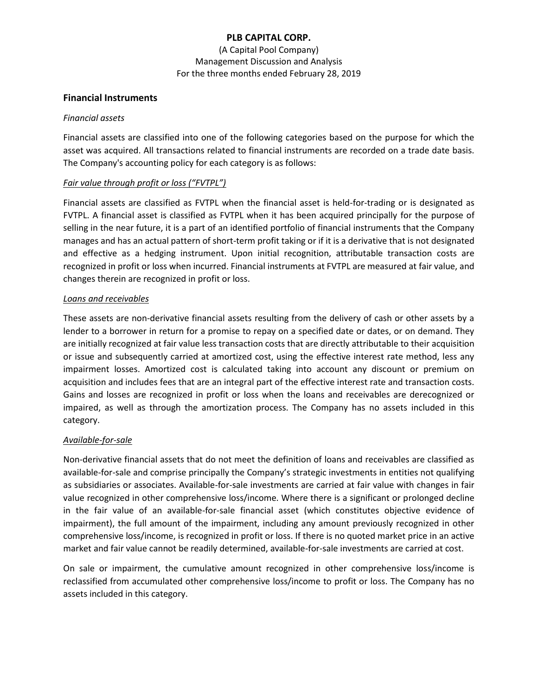(A Capital Pool Company) Management Discussion and Analysis For the three months ended February 28, 2019

### **Financial Instruments**

#### *Financial assets*

Financial assets are classified into one of the following categories based on the purpose for which the asset was acquired. All transactions related to financial instruments are recorded on a trade date basis. The Company's accounting policy for each category is as follows:

### *Fair value through profit or loss ("FVTPL")*

Financial assets are classified as FVTPL when the financial asset is held-for-trading or is designated as FVTPL. A financial asset is classified as FVTPL when it has been acquired principally for the purpose of selling in the near future, it is a part of an identified portfolio of financial instruments that the Company manages and has an actual pattern of short-term profit taking or if it is a derivative that is not designated and effective as a hedging instrument. Upon initial recognition, attributable transaction costs are recognized in profit or loss when incurred. Financial instruments at FVTPL are measured at fair value, and changes therein are recognized in profit or loss.

### *Loans and receivables*

These assets are non-derivative financial assets resulting from the delivery of cash or other assets by a lender to a borrower in return for a promise to repay on a specified date or dates, or on demand. They are initially recognized at fair value less transaction costs that are directly attributable to their acquisition or issue and subsequently carried at amortized cost, using the effective interest rate method, less any impairment losses. Amortized cost is calculated taking into account any discount or premium on acquisition and includes fees that are an integral part of the effective interest rate and transaction costs. Gains and losses are recognized in profit or loss when the loans and receivables are derecognized or impaired, as well as through the amortization process. The Company has no assets included in this category.

#### *Available-for-sale*

Non-derivative financial assets that do not meet the definition of loans and receivables are classified as available-for-sale and comprise principally the Company's strategic investments in entities not qualifying as subsidiaries or associates. Available-for-sale investments are carried at fair value with changes in fair value recognized in other comprehensive loss/income. Where there is a significant or prolonged decline in the fair value of an available-for-sale financial asset (which constitutes objective evidence of impairment), the full amount of the impairment, including any amount previously recognized in other comprehensive loss/income, is recognized in profit or loss. If there is no quoted market price in an active market and fair value cannot be readily determined, available-for-sale investments are carried at cost.

On sale or impairment, the cumulative amount recognized in other comprehensive loss/income is reclassified from accumulated other comprehensive loss/income to profit or loss. The Company has no assets included in this category.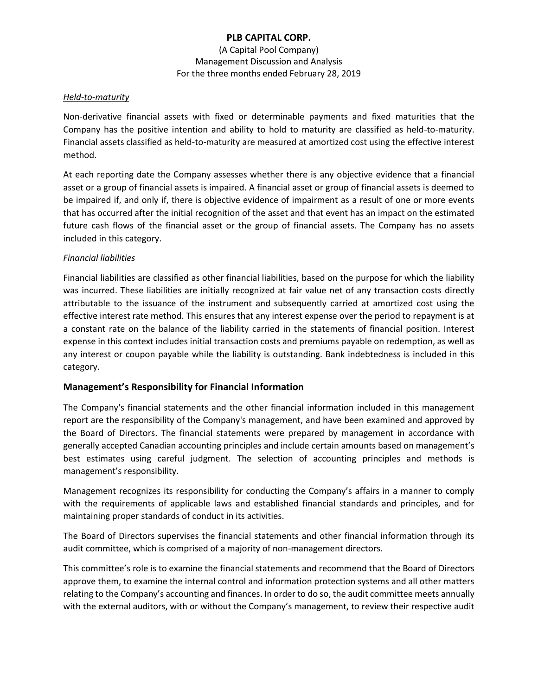(A Capital Pool Company) Management Discussion and Analysis For the three months ended February 28, 2019

#### *Held-to-maturity*

Non-derivative financial assets with fixed or determinable payments and fixed maturities that the Company has the positive intention and ability to hold to maturity are classified as held-to-maturity. Financial assets classified as held-to-maturity are measured at amortized cost using the effective interest method.

At each reporting date the Company assesses whether there is any objective evidence that a financial asset or a group of financial assets is impaired. A financial asset or group of financial assets is deemed to be impaired if, and only if, there is objective evidence of impairment as a result of one or more events that has occurred after the initial recognition of the asset and that event has an impact on the estimated future cash flows of the financial asset or the group of financial assets. The Company has no assets included in this category.

# *Financial liabilities*

Financial liabilities are classified as other financial liabilities, based on the purpose for which the liability was incurred. These liabilities are initially recognized at fair value net of any transaction costs directly attributable to the issuance of the instrument and subsequently carried at amortized cost using the effective interest rate method. This ensures that any interest expense over the period to repayment is at a constant rate on the balance of the liability carried in the statements of financial position. Interest expense in this context includes initial transaction costs and premiums payable on redemption, as well as any interest or coupon payable while the liability is outstanding. Bank indebtedness is included in this category.

# **Management's Responsibility for Financial Information**

The Company's financial statements and the other financial information included in this management report are the responsibility of the Company's management, and have been examined and approved by the Board of Directors. The financial statements were prepared by management in accordance with generally accepted Canadian accounting principles and include certain amounts based on management's best estimates using careful judgment. The selection of accounting principles and methods is management's responsibility.

Management recognizes its responsibility for conducting the Company's affairs in a manner to comply with the requirements of applicable laws and established financial standards and principles, and for maintaining proper standards of conduct in its activities.

The Board of Directors supervises the financial statements and other financial information through its audit committee, which is comprised of a majority of non-management directors.

This committee's role is to examine the financial statements and recommend that the Board of Directors approve them, to examine the internal control and information protection systems and all other matters relating to the Company's accounting and finances. In order to do so, the audit committee meets annually with the external auditors, with or without the Company's management, to review their respective audit